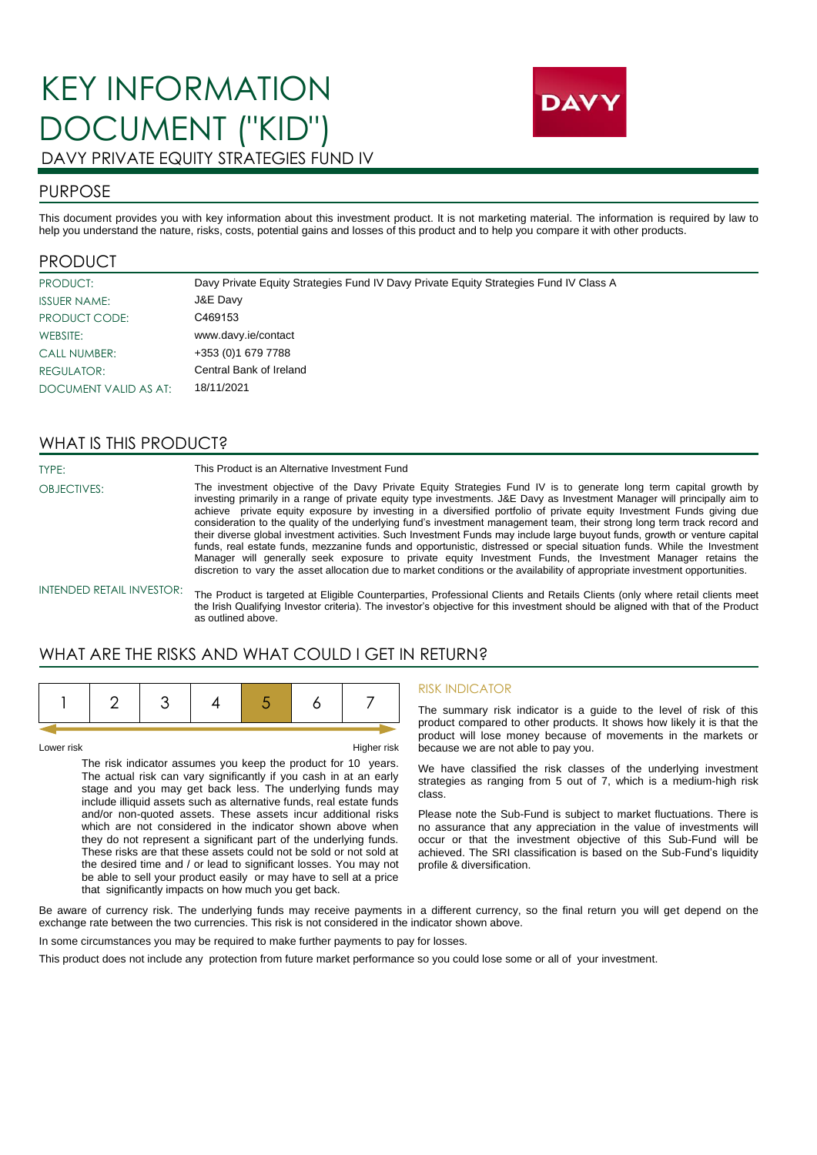# KEY INFORMATION DOCUMENT ("KID") DAVY PRIVATE EQUITY STRATEGIES FUND IV



### PURPOSE

This document provides you with key information about this investment product. It is not marketing material. The information is required by law to help you understand the nature, risks, costs, potential gains and losses of this product and to help you compare it with other products.

### PRODUCT

| PRODUCT:              | Davy Private Equity Strategies Fund IV Davy Private Equity Strategies Fund IV Class A |
|-----------------------|---------------------------------------------------------------------------------------|
| <b>ISSUER NAME:</b>   | J&E Davy                                                                              |
| PRODUCT CODE:         | C469153                                                                               |
| WEBSITE:              | www.davy.ie/contact                                                                   |
| <b>CALL NUMBER:</b>   | +353 (0) 1 679 7788                                                                   |
| REGULATOR:            | Central Bank of Ireland                                                               |
| DOCUMENT VALID AS AT: | 18/11/2021                                                                            |

### WHAT IS THIS PRODUCT?

TYPE: OBJECTIVES: This Product is an Alternative Investment Fund

The investment objective of the Davy Private Equity Strategies Fund IV is to generate long term capital growth by investing primarily in a range of private equity type investments. J&E Davy as Investment Manager will principally aim to achieve private equity exposure by investing in a diversified portfolio of private equity Investment Funds giving due consideration to the quality of the underlying fund's investment management team, their strong long term track record and their diverse global investment activities. Such Investment Funds may include large buyout funds, growth or venture capital funds, real estate funds, mezzanine funds and opportunistic, distressed or special situation funds. While the Investment Manager will generally seek exposure to private equity Investment Funds, the Investment Manager retains the discretion to vary the asset allocation due to market conditions or the availability of appropriate investment opportunities.

#### INTENDED RETAIL INVESTOR:

The Product is targeted at Eligible Counterparties, Professional Clients and Retails Clients (only where retail clients meet the Irish Qualifying Investor criteria). The investor's objective for this investment should be aligned with that of the Product as outlined above.

### WHAT ARE THE RISKS AND WHAT COULD LGET IN RETURN?

|--|--|--|--|--|--|--|--|

Lower risk **Higher risk** Higher risk **Higher risk** 

The risk indicator assumes you keep the product for 10 years. The actual risk can vary significantly if you cash in at an early stage and you may get back less. The underlying funds may include illiquid assets such as alternative funds, real estate funds and/or non-quoted assets. These assets incur additional risks which are not considered in the indicator shown above when they do not represent a significant part of the underlying funds. These risks are that these assets could not be sold or not sold at the desired time and / or lead to significant losses. You may not be able to sell your product easily or may have to sell at a price that significantly impacts on how much you get back.

#### RISK INDICATOR

The summary risk indicator is a guide to the level of risk of this product compared to other products. It shows how likely it is that the product will lose money because of movements in the markets or because we are not able to pay you.

We have classified the risk classes of the underlying investment strategies as ranging from 5 out of 7, which is a medium-high risk class.

Please note the Sub-Fund is subject to market fluctuations. There is no assurance that any appreciation in the value of investments will occur or that the investment objective of this Sub-Fund will be achieved. The SRI classification is based on the Sub-Fund's liquidity profile & diversification.

Be aware of currency risk. The underlying funds may receive payments in a different currency, so the final return you will get depend on the exchange rate between the two currencies. This risk is not considered in the indicator shown above.

In some circumstances you may be required to make further payments to pay for losses.

This product does not include any protection from future market performance so you could lose some or all of your investment.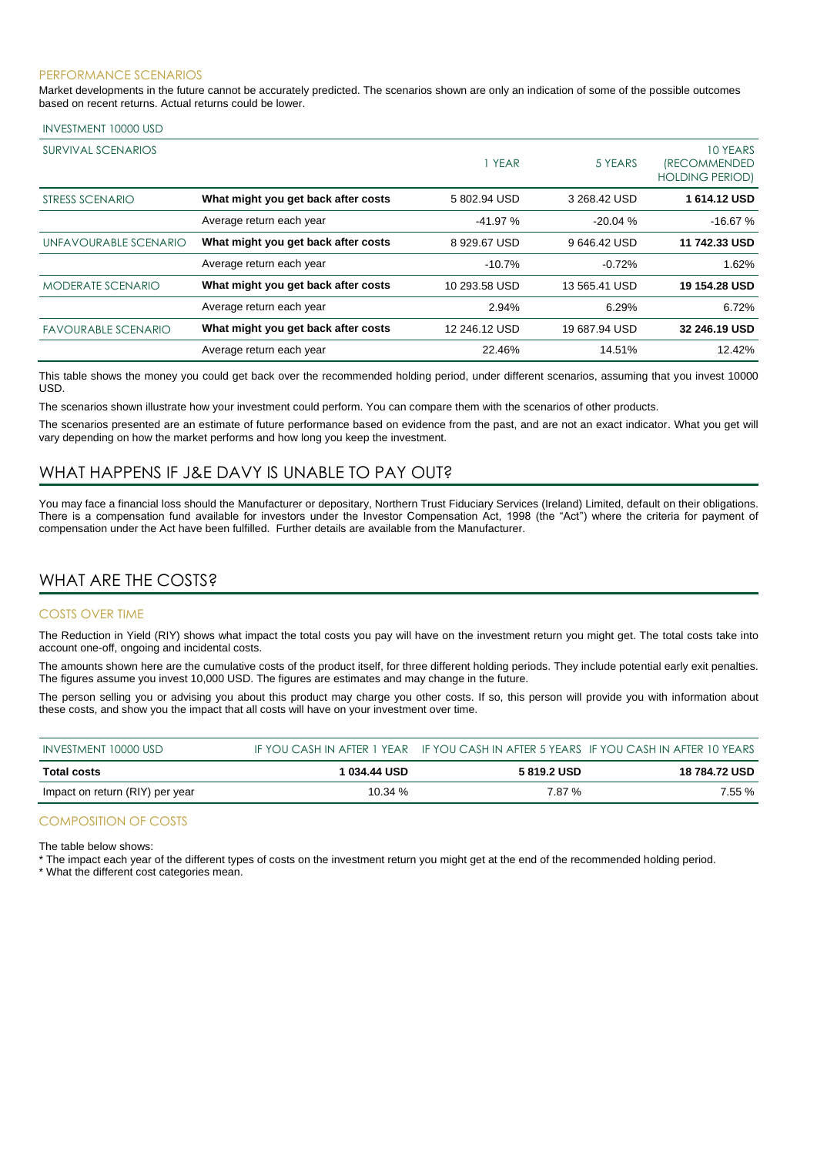#### PERFORMANCE SCENARIOS

Market developments in the future cannot be accurately predicted. The scenarios shown are only an indication of some of the possible outcomes based on recent returns. Actual returns could be lower.

#### INVESTMENT 10000 USD

| SURVIVAL SCENARIOS         |                                     | 1 YEAR        | 5 YEARS       | 10 YEARS<br><i><b>IRECOMMENDED</b></i><br><b>HOLDING PERIOD)</b> |
|----------------------------|-------------------------------------|---------------|---------------|------------------------------------------------------------------|
| STRESS SCENARIO            | What might you get back after costs | 5802.94 USD   | 3 268.42 USD  | 1614.12 USD                                                      |
|                            | Average return each year            | $-41.97%$     | $-20.04%$     | $-16.67%$                                                        |
| UNFAVOURABLE SCENARIO      | What might you get back after costs | 8929.67 USD   | 9646.42 USD   | 11 742.33 USD                                                    |
|                            | Average return each year            | $-10.7%$      | $-0.72%$      | 1.62%                                                            |
| <b>MODERATE SCENARIO</b>   | What might you get back after costs | 10 293.58 USD | 13 565.41 USD | 19 154.28 USD                                                    |
|                            | Average return each year            | 2.94%         | 6.29%         | 6.72%                                                            |
| <b>FAVOURABLE SCENARIO</b> | What might you get back after costs | 12 246.12 USD | 19 687.94 USD | 32 246.19 USD                                                    |
|                            | Average return each year            | 22.46%        | 14.51%        | 12.42%                                                           |

This table shows the money you could get back over the recommended holding period, under different scenarios, assuming that you invest 10000 USD.

The scenarios shown illustrate how your investment could perform. You can compare them with the scenarios of other products.

The scenarios presented are an estimate of future performance based on evidence from the past, and are not an exact indicator. What you get will vary depending on how the market performs and how long you keep the investment.

### WHAT HAPPENS IF J&E DAVY IS UNABLE TO PAY OUT?

You may face a financial loss should the Manufacturer or depositary, Northern Trust Fiduciary Services (Ireland) Limited, default on their obligations. There is a compensation fund available for investors under the Investor Compensation Act, 1998 (the "Act") where the criteria for payment of compensation under the Act have been fulfilled. Further details are available from the Manufacturer.

### WHAT ARE THE COSTS?

#### COSTS OVER TIME

The Reduction in Yield (RIY) shows what impact the total costs you pay will have on the investment return you might get. The total costs take into account one-off, ongoing and incidental costs.

The amounts shown here are the cumulative costs of the product itself, for three different holding periods. They include potential early exit penalties. The figures assume you invest 10,000 USD. The figures are estimates and may change in the future.

The person selling you or advising you about this product may charge you other costs. If so, this person will provide you with information about these costs, and show you the impact that all costs will have on your investment over time.

| INVESTMENT 10000 USD            |              |             | IF YOU CASH IN AFTER 1 YEAR IF YOU CASH IN AFTER 5 YEARS IF YOU CASH IN AFTER 10 YEARS |
|---------------------------------|--------------|-------------|----------------------------------------------------------------------------------------|
| <b>Total costs</b>              | 1 034.44 USD | 5 819.2 USD | <b>18 784.72 USD</b>                                                                   |
| Impact on return (RIY) per year | 10.34 %      | 7.87 %      | 7.55 %                                                                                 |

#### COMPOSITION OF COSTS

The table below shows:

\* The impact each year of the different types of costs on the investment return you might get at the end of the recommended holding period.

\* What the different cost categories mean.